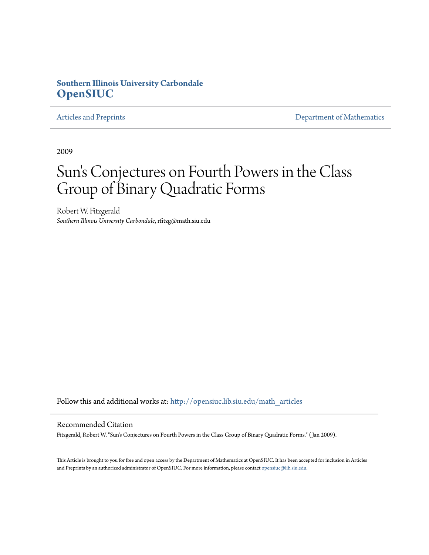## **Southern Illinois University Carbondale [OpenSIUC](http://opensiuc.lib.siu.edu?utm_source=opensiuc.lib.siu.edu%2Fmath_articles%2F104&utm_medium=PDF&utm_campaign=PDFCoverPages)**

[Articles and Preprints](http://opensiuc.lib.siu.edu/math_articles?utm_source=opensiuc.lib.siu.edu%2Fmath_articles%2F104&utm_medium=PDF&utm_campaign=PDFCoverPages) **[Department of Mathematics](http://opensiuc.lib.siu.edu/math?utm_source=opensiuc.lib.siu.edu%2Fmath_articles%2F104&utm_medium=PDF&utm_campaign=PDFCoverPages)** 

2009

# Sun 's Conjectures on Fourth Powers in the Class Group of Binary Quadratic Forms

Robert W. Fitzgerald *Southern Illinois University Carbondale*, rfitzg@math.siu.edu

Follow this and additional works at: [http://opensiuc.lib.siu.edu/math\\_articles](http://opensiuc.lib.siu.edu/math_articles?utm_source=opensiuc.lib.siu.edu%2Fmath_articles%2F104&utm_medium=PDF&utm_campaign=PDFCoverPages)

#### Recommended Citation

Fitzgerald, Robert W. "Sun's Conjectures on Fourth Powers in the Class Group of Binary Quadratic Forms." ( Jan 2009).

This Article is brought to you for free and open access by the Department of Mathematics at OpenSIUC. It has been accepted for inclusion in Articles and Preprints by an authorized administrator of OpenSIUC. For more information, please contact [opensiuc@lib.siu.edu](mailto:opensiuc@lib.siu.edu).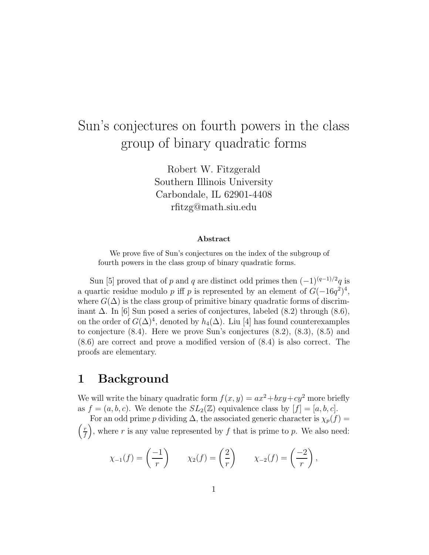## Sun's conjectures on fourth powers in the class group of binary quadratic forms

Robert W. Fitzgerald Southern Illinois University Carbondale, IL 62901-4408 rfitzg@math.siu.edu

#### **Abstract**

We prove five of Sun's conjectures on the index of the subgroup of fourth powers in the class group of binary quadratic forms.

Sun [5] proved that of p and q are distinct odd primes then  $(-1)^{(q-1)/2}q$  is a quartic residue modulo p iff p is represented by an element of  $G(-16q^2)^4$ , where  $G(\Delta)$  is the class group of primitive binary quadratic forms of discriminant  $\Delta$ . In [6] Sun posed a series of conjectures, labeled (8.2) through (8.6), on the order of  $G(\Delta)^4$ , denoted by  $h_4(\Delta)$ . Liu [4] has found counterexamples to conjecture (8.4). Here we prove Sun's conjectures (8.2), (8.3), (8.5) and (8.6) are correct and prove a modified version of (8.4) is also correct. The proofs are elementary.

## **1 Background**

We will write the binary quadratic form  $f(x, y) = ax^2 + bxy + cy^2$  more briefly as  $f = (a, b, c)$ . We denote the  $SL_2(\mathbb{Z})$  equivalence class by  $[f] = [a, b, c]$ .

For an odd prime p dividing  $\Delta$ , the associated generic character is  $\chi_p(f)$  =  $\left(\frac{r}{f}\right)$ , where r is any value represented by f that is prime to p. We also need: *f*

$$
\chi_{-1}(f) = \left(\frac{-1}{r}\right)
$$
  $\chi_2(f) = \left(\frac{2}{r}\right)$   $\chi_{-2}(f) = \left(\frac{-2}{r}\right)$ ,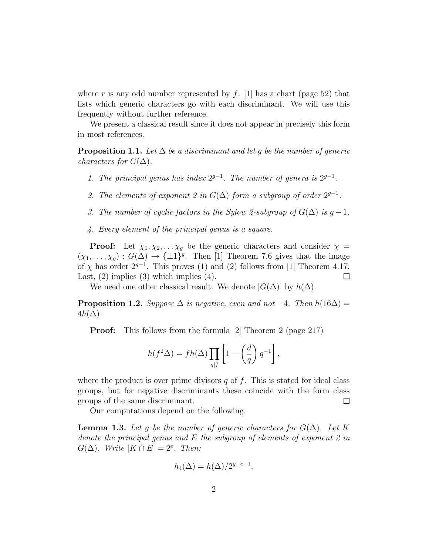where r is any odd number represented by  $f$ . [1] has a chart (page 52) that lists which generic characters go with each discriminant. We will use this frequently without further reference.

We present a classical result since it does not appear in precisely this form in most references.

**Proposition 1.1.** Let  $\Delta$  be a discriminant and let q be the number of generic *characters for*  $G(\Delta)$ *.* 

- *1. The principal genus has index* 2*g*−<sup>1</sup>*. The number of genera is* 2*g*−<sup>1</sup>*.*
- 2. The elements of exponent 2 in  $G(\Delta)$  form a subgroup of order  $2^{g-1}$ .
- *3. The number of cyclic factors in the Sylow 2-subgroup of*  $G(\Delta)$  *is*  $g-1$ *.*
- *4. Every element of the principal genus is a square.*

**Proof:** Let  $\chi_1, \chi_2, \ldots, \chi_q$  be the generic characters and consider  $\chi$  =  $(\chi_1,\ldots,\chi_g) : G(\Delta) \to {\pm 1}^g$ . Then [1] Theorem 7.6 gives that the image of  $\chi$  has order  $2^{g-1}$ . This proves (1) and (2) follows from [1] Theorem 4.17. Last,  $(2)$  implies  $(3)$  which implies  $(4)$ .  $\Box$ 

We need one other classical result. We denote  $|G(\Delta)|$  by  $h(\Delta)$ .

**Proposition 1.2.** *Suppose*  $\Delta$  *is negative, even and not*  $-4$ *. Then*  $h(16\Delta)$  =  $4h(\Delta)$ .

**Proof:** This follows from the formula [2] Theorem 2 (page 217)

$$
h(f^{2}\Delta) = fh(\Delta) \prod_{q|f} \left[1 - \left(\frac{d}{q}\right)q^{-1}\right],
$$

where the product is over prime divisors  $q$  of  $f$ . This is stated for ideal class groups, but for negative discriminants these coincide with the form class groups of the same discriminant.  $\Box$ 

Our computations depend on the following.

**Lemma 1.3.** Let g be the number of generic characters for  $G(\Delta)$ . Let K *denote the principal genus and* E *the subgroup of elements of exponent 2 in*  $G(\Delta)$ *. Write*  $|K \cap E| = 2^e$ *. Then:* 

$$
h_4(\Delta) = h(\Delta)/2^{g+e-1}.
$$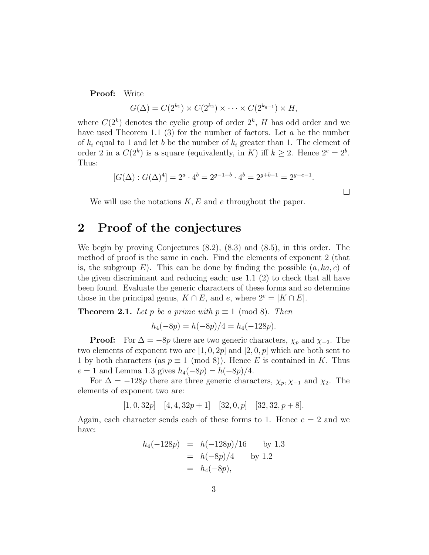**Proof:** Write

$$
G(\Delta) = C(2^{k_1}) \times C(2^{k_2}) \times \cdots \times C(2^{k_{g-1}}) \times H,
$$

where  $C(2^k)$  denotes the cyclic group of order  $2^k$ , H has odd order and we have used Theorem 1.1 (3) for the number of factors. Let  $a$  be the number of  $k_i$  equal to 1 and let b be the number of  $k_i$  greater than 1. The element of order 2 in a  $C(2^k)$  is a square (equivalently, in K) iff  $k \geq 2$ . Hence  $2^e = 2^b$ . Thus:

$$
[G(\Delta): G(\Delta)^4] = 2^a \cdot 4^b = 2^{g-1-b} \cdot 4^b = 2^{g+b-1} = 2^{g+e-1}.
$$

 $\Box$ 

We will use the notations  $K, E$  and e throughout the paper.

## **2 Proof of the conjectures**

We begin by proving Conjectures (8.2), (8.3) and (8.5), in this order. The method of proof is the same in each. Find the elements of exponent 2 (that is, the subgroup  $E$ ). This can be done by finding the possible  $(a, ka, c)$  of the given discriminant and reducing each; use 1.1 (2) to check that all have been found. Evaluate the generic characters of these forms and so determine those in the principal genus,  $K \cap E$ , and e, where  $2^e = |K \cap E|$ .

**Theorem 2.1.** *Let* p *be a prime with*  $p \equiv 1 \pmod{8}$ *. Then* 

$$
h_4(-8p) = h(-8p)/4 = h_4(-128p).
$$

**Proof:** For  $\Delta = -8p$  there are two generic characters,  $\chi_p$  and  $\chi_{-2}$ . The two elements of exponent two are  $[1, 0, 2p]$  and  $[2, 0, p]$  which are both sent to 1 by both characters (as  $p \equiv 1 \pmod{8}$ ). Hence E is contained in K. Thus  $e = 1$  and Lemma 1.3 gives  $h_4(-8p) = h(-8p)/4$ .

For  $\Delta = -128p$  there are three generic characters,  $\chi_p, \chi_{-1}$  and  $\chi_2$ . The elements of exponent two are:

$$
[1, 0, 32p]
$$
  $[4, 4, 32p + 1]$   $[32, 0, p]$   $[32, 32, p + 8]$ .

Again, each character sends each of these forms to 1. Hence  $e = 2$  and we have:

$$
h_4(-128p) = h(-128p)/16 \text{ by } 1.3
$$
  
=  $h(-8p)/4$  by 1.2  
=  $h_4(-8p)$ ,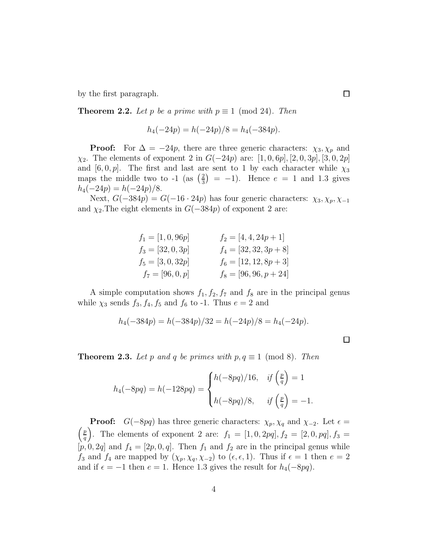by the first paragraph.

**Theorem 2.2.** *Let* p *be a prime with*  $p \equiv 1 \pmod{24}$ *. Then* 

$$
h_4(-24p) = h(-24p)/8 = h_4(-384p).
$$

**Proof:** For  $\Delta = -24p$ , there are three generic characters:  $\chi_3, \chi_p$  and  $\chi_2$ . The elements of exponent 2 in  $G(-24p)$  are: [1, 0, 6p], [2, 0, 3p], [3, 0, 2p] and  $[6, 0, p]$ . The first and last are sent to 1 by each character while  $\chi_3$ maps the middle two to -1 (as  $\left(\frac{2}{3}\right) = -1$ ). Hence  $e = 1$  and 1.3 gives  $h_4(-24p) = h(-24p)/8.$ 

Next,  $G(-384p) = G(-16 \cdot 24p)$  has four generic characters:  $\chi_3, \chi_p, \chi_{-1}$ and  $\chi_2$ . The eight elements in  $G(-384p)$  of exponent 2 are:

| $f_1 = [1, 0, 96p]$ | $f_2 = [4, 4, 24p + 1]$  |
|---------------------|--------------------------|
| $f_3 = [32, 0, 3p]$ | $f_4 = [32, 32, 3p + 8]$ |
| $f_5 = [3, 0, 32p]$ | $f_6 = [12, 12, 8p + 3]$ |
| $f_7=[96,0,p]$      | $f_8 = [96, 96, p + 24]$ |

A simple computation shows  $f_1, f_2, f_7$  and  $f_8$  are in the principal genus while  $\chi_3$  sends  $f_3, f_4, f_5$  and  $f_6$  to -1. Thus  $e = 2$  and

$$
h_4(-384p) = h(-384p)/32 = h(-24p)/8 = h_4(-24p).
$$

 $\Box$ 

**Theorem 2.3.** *Let* p and q *be primes with*  $p, q \equiv 1 \pmod{8}$ *. Then* 

$$
h_4(-8pq) = h(-128pq) = \begin{cases} h(-8pq)/16, & \text{if } \left(\frac{p}{q}\right) = 1 \\ h(-8pq)/8, & \text{if } \left(\frac{p}{q}\right) = -1. \end{cases}
$$

**Proof:**  $G(-8pq)$  has three generic characters:  $\chi_p, \chi_q$  and  $\chi_{-2}$ . Let  $\epsilon = \begin{pmatrix} p \\ q \end{pmatrix}$ . The elements of exponent 2 are:  $f_1 = [1, 0, 2pq], f_2 = [2, 0, pq], f_3 =$  $[p, 0, 2q]$  and  $f_4 = [2p, 0, q]$ . Then  $f_1$  and  $f_2$  are in the principal genus while  $f_3$  and  $f_4$  are mapped by  $(\chi_p, \chi_q, \chi_{-2})$  to  $(\epsilon, \epsilon, 1)$ . Thus if  $\epsilon = 1$  then  $e = 2$ and if  $\epsilon = -1$  then  $e = 1$ . Hence 1.3 gives the result for  $h_4(-8pq)$ .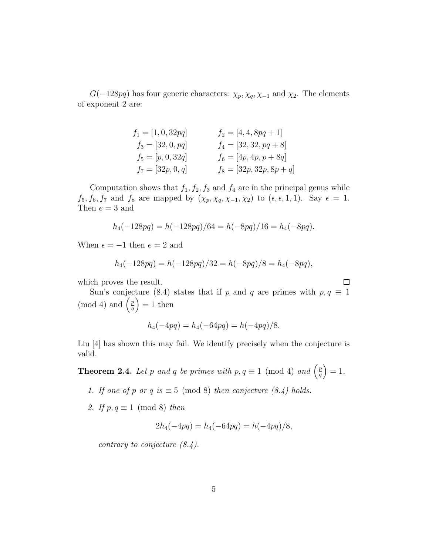$G(-128pq)$  has four generic characters:  $\chi_p, \chi_q, \chi_{-1}$  and  $\chi_2$ . The elements of exponent 2 are:

| $f_1 = [1, 0, 32pq]$ | $f_2 = [4, 4, 8pq + 1]$    |
|----------------------|----------------------------|
| $f_3 = [32, 0, pq]$  | $f_4 = [32, 32, pq + 8]$   |
| $f_5 = [p, 0, 32q]$  | $f_6 = [4p, 4p, p + 8q]$   |
| $f_7 = [32p, 0, q]$  | $f_8 = [32p, 32p, 8p + q]$ |

Computation shows that  $f_1, f_2, f_3$  and  $f_4$  are in the principal genus while  $f_5, f_6, f_7$  and  $f_8$  are mapped by  $(\chi_p, \chi_q, \chi_{-1}, \chi_2)$  to  $(\epsilon, \epsilon, 1, 1)$ . Say  $\epsilon = 1$ . Then  $e = 3$  and

$$
h_4(-128pq) = h(-128pq)/64 = h(-8pq)/16 = h_4(-8pq).
$$

When  $\epsilon = -1$  then  $e = 2$  and

$$
h_4(-128pq) = h(-128pq)/32 = h(-8pq)/8 = h_4(-8pq),
$$

which proves the result.

Sun's conjecture (8.4) states that if p and q are primes with  $p, q \equiv 1$ (mod 4) and  $\left(\frac{p}{q}\right)$ *q*  $= 1$  then

 $\Box$ 

$$
h_4(-4pq) = h_4(-64pq) = h(-4pq)/8.
$$

Liu [4] has shown this may fail. We identify precisely when the conjecture is valid.

**Theorem 2.4.** *Let* p and q be primes with  $p, q \equiv 1 \pmod{4}$  and  $\left(\frac{p}{q}\right)$ *q*  $= 1.$ 

- *1. If one of*  $p$  *or*  $q$  *is*  $\equiv$  5 (mod 8) *then conjecture (8.4) holds.*
- *2. If*  $p, q \equiv 1 \pmod{8}$  *then*

$$
2h_4(-4pq) = h_4(-64pq) = h(-4pq)/8,
$$

*contrary to conjecture (8.4).*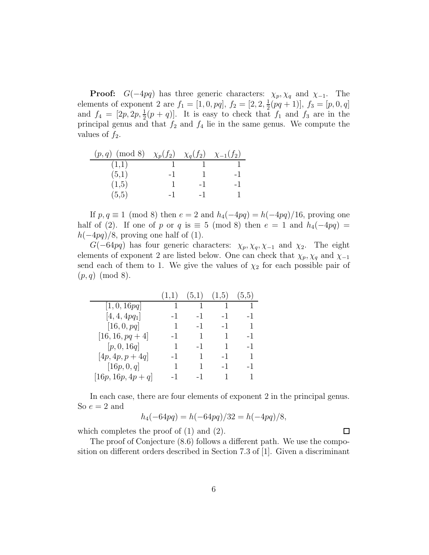**Proof:**  $G(-4pq)$  has three generic characters:  $\chi_p, \chi_q$  and  $\chi_{-1}$ . The elements of exponent 2 are  $f_1 = [1, 0, pq]$ ,  $f_2 = [2, 2, \frac{1}{2}(pq + 1)]$ ,  $f_3 = [p, 0, q]$ and  $f_4 = [2p, 2p, \frac{1}{2}(p+q)]$ . It is easy to check that  $f_1$  and  $f_3$  are in the principal genus and that  $f_2$  and  $f_4$  lie in the same genus. We compute the values of  $f_2$ .

| $(p,q) \pmod{8}$ | $\chi_p(f_2)$ | $\chi_q(f_2)$ | $\chi_{-1}(f_2)$ |
|------------------|---------------|---------------|------------------|
| (1,1)            |               |               |                  |
| (5,1)            | - 1           |               | -1               |
| (1,5)            |               | -1            | $-1$             |
| (5,5)            | -1            | – I           |                  |

If  $p, q \equiv 1 \pmod{8}$  then  $e = 2$  and  $h_4(-4pq) = h(-4pq)/16$ , proving one half of (2). If one of p or q is  $\equiv$  5 (mod 8) then  $e = 1$  and  $h_4(-4pq) =$  $h(-4pq)/8$ , proving one half of (1).

G(-64pq) has four generic characters:  $\chi_p, \chi_q, \chi_{-1}$  and  $\chi_2$ . The eight elements of exponent 2 are listed below. One can check that  $\chi_p, \chi_q$  and  $\chi_{-1}$ send each of them to 1. We give the values of  $\chi_2$  for each possible pair of  $(p, q) \pmod{8}$ .

|                      | (1,1) |          | $(5,1)$ $(1,5)$ $(5,5)$ |                |
|----------------------|-------|----------|-------------------------|----------------|
| [1, 0, 16pq]         | 1     | $\sim$ 1 | $\blacksquare$          | $\overline{1}$ |
| $[4, 4, 4pq_1]$      | -1    | -1       | -1                      | $-1$           |
| [16, 0, pq]          | 1     | $-1$     | $-1$                    | $\mathbf{1}$   |
| $[16, 16, pq+4]$     | -1    | -1       | 1                       | $-1$           |
| [p, 0, 16q]          | 1     | -1       | 1                       | $-1$           |
| $[4p, 4p, p + 4q]$   | -1    | 1        | $-1$                    | 1              |
| [16p, 0, q]          | 1     | 1        | $-1$                    | $-1$           |
| $[16p, 16p, 4p + q]$ | -1    | -1       | 1                       | 1              |

In each case, there are four elements of exponent 2 in the principal genus. So  $e = 2$  and

$$
h_4(-64pq) = h(-64pq)/32 = h(-4pq)/8,
$$

which completes the proof of (1) and (2).

The proof of Conjecture (8.6) follows a different path. We use the composition on different orders described in Section 7.3 of [1]. Given a discriminant

 $\Box$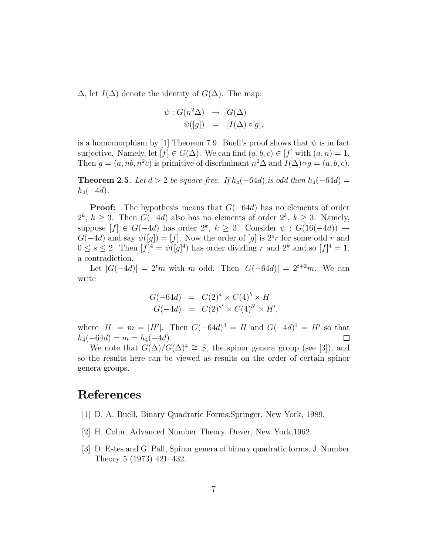$\Delta$ , let  $I(\Delta)$  denote the identity of  $G(\Delta)$ . The map:

$$
\psi : G(n^2 \Delta) \rightarrow G(\Delta)
$$
  

$$
\psi([g]) = [I(\Delta) \circ g],
$$

is a homomorphism by [1] Theorem 7.9. Buell's proof shows that  $\psi$  is in fact surjective. Namely, let  $[f] \in G(\Delta)$ . We can find  $(a, b, c) \in [f]$  with  $(a, n) = 1$ . Then  $g = (a, nb, n^2c)$  is primitive of discriminant  $n^2\Delta$  and  $I(\Delta) \circ g = (a, b, c)$ .

**Theorem 2.5.** *Let*  $d > 2$  *be square-free. If*  $h_4(-64d)$  *is odd then*  $h_4(-64d)$  =  $h_4(-4d)$ .

**Proof:** The hypothesis means that  $G(-64d)$  has no elements of order 2<sup>k</sup>,  $k$  ≥ 3. Then  $G(-4d)$  also has no elements of order  $2^k$ ,  $k$  ≥ 3. Namely, suppose  $[f] \in G(-4d)$  has order  $2^k$ ,  $k \geq 3$ . Consider  $\psi : G(16(-4d)) \rightarrow$  $G(-4d)$  and say  $\psi([g]) = [f]$ . Now the order of [g] is  $2^{s}r$  for some odd r and  $0 \leq s \leq 2$ . Then  $[f]^4 = \psi([g]^4)$  has order dividing r and  $2^k$  and so  $[f]^4 = 1$ , a contradiction.

Let  $|G(-4d)| = 2<sup>t</sup>m$  with m odd. Then  $|G(-64d)| = 2<sup>t+2</sup>m$ . We can write

$$
G(-64d) = C(2)a \times C(4)b \times H
$$
  

$$
G(-4d) = C(2)a' \times C(4)b' \times H',
$$

where  $|H| = m = |H'|$ . Then  $G(-64d)^4 = H$  and  $G(-4d)^4 = H'$  so that  $h_4(-64d) = m = h_4(-4d).$  $\Box$ 

We note that  $G(\Delta)/G(\Delta)^4 \cong S$ , the spinor genera group (see [3]), and so the results here can be viewed as results on the order of certain spinor genera groups.

### **References**

- [1] D. A. Buell, Binary Quadratic Forms.Springer, New York, 1989.
- [2] H. Cohn, Advanced Number Theory. Dover, New York,1962.
- [3] D. Estes and G. Pall, Spinor genera of binary quadratic forms. J. Number Theory 5 (1973) 421–432.